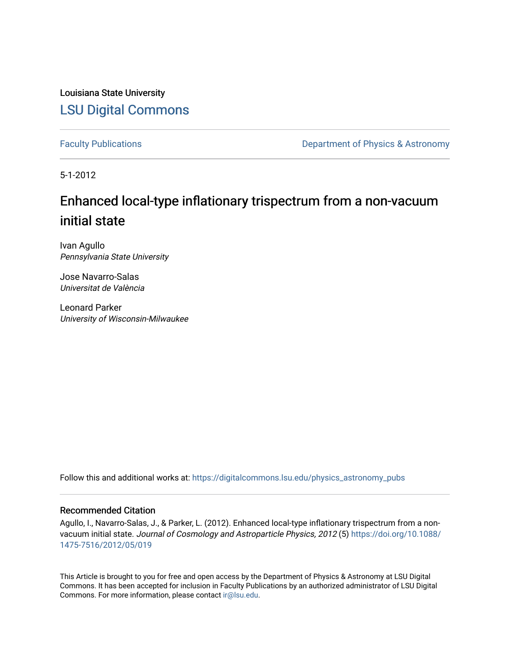Louisiana State University [LSU Digital Commons](https://digitalcommons.lsu.edu/)

[Faculty Publications](https://digitalcommons.lsu.edu/physics_astronomy_pubs) **Exercise 2 and Table 2 and Table 2 and Table 2 and Table 2 and Table 2 and Table 2 and Table 2 and Table 2 and Table 2 and Table 2 and Table 2 and Table 2 and Table 2 and Table 2 and Table 2 and Table** 

5-1-2012

## Enhanced local-type inflationary trispectrum from a non-vacuum initial state

Ivan Agullo Pennsylvania State University

Jose Navarro-Salas Universitat de València

Leonard Parker University of Wisconsin-Milwaukee

Follow this and additional works at: [https://digitalcommons.lsu.edu/physics\\_astronomy\\_pubs](https://digitalcommons.lsu.edu/physics_astronomy_pubs?utm_source=digitalcommons.lsu.edu%2Fphysics_astronomy_pubs%2F177&utm_medium=PDF&utm_campaign=PDFCoverPages) 

#### Recommended Citation

Agullo, I., Navarro-Salas, J., & Parker, L. (2012). Enhanced local-type inflationary trispectrum from a nonvacuum initial state. Journal of Cosmology and Astroparticle Physics, 2012 (5) [https://doi.org/10.1088/](https://doi.org/10.1088/1475-7516/2012/05/019) [1475-7516/2012/05/019](https://doi.org/10.1088/1475-7516/2012/05/019) 

This Article is brought to you for free and open access by the Department of Physics & Astronomy at LSU Digital Commons. It has been accepted for inclusion in Faculty Publications by an authorized administrator of LSU Digital Commons. For more information, please contact [ir@lsu.edu](mailto:ir@lsu.edu).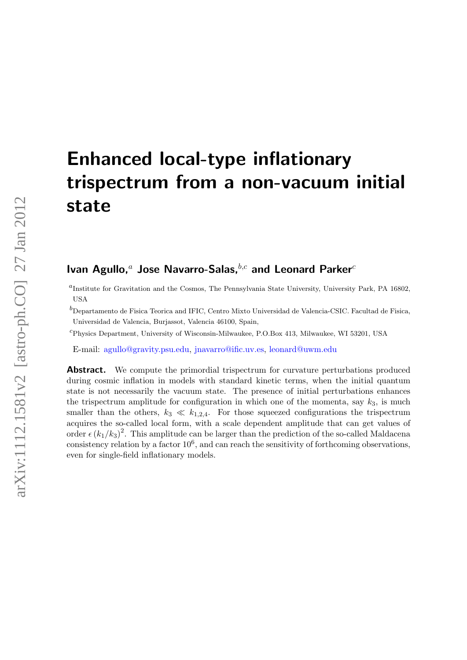# Enhanced local-type inflationary trispectrum from a non-vacuum initial state

### Ivan Agullo,<sup>a</sup> Jose Navarro-Salas,  $b,c$  and Leonard Parker<sup>c</sup>

a Institute for Gravitation and the Cosmos, The Pennsylvania State University, University Park, PA 16802, **USA** 

 $^b$ Departamento de Fisica Teorica and IFIC, Centro Mixto Universidad de Valencia-CSIC. Facultad de Fisica, Universidad de Valencia, Burjassot, Valencia 46100, Spain,

<sup>c</sup>Physics Department, University of Wisconsin-Milwaukee, P.O.Box 413, Milwaukee, WI 53201, USA

E-mail: [agullo@gravity.psu.edu,](mailto:agullo@gravity.psu.edu) [jnavarro@ific.uv.es,](mailto:jnavarro@ific.uv.es) [leonard@uwm.edu](mailto:leonard@uwm.edu)

**Abstract.** We compute the primordial trispectrum for curvature perturbations produced during cosmic inflation in models with standard kinetic terms, when the initial quantum state is not necessarily the vacuum state. The presence of initial perturbations enhances the trispectrum amplitude for configuration in which one of the momenta, say  $k_3$ , is much smaller than the others,  $k_3 \ll k_{1,2,4}$ . For those squeezed configurations the trispectrum acquires the so-called local form, with a scale dependent amplitude that can get values of order  $\epsilon (k_1/k_3)^2$ . This amplitude can be larger than the prediction of the so-called Maldacena consistency relation by a factor  $10^6$ , and can reach the sensitivity of forthcoming observations, even for single-field inflationary models.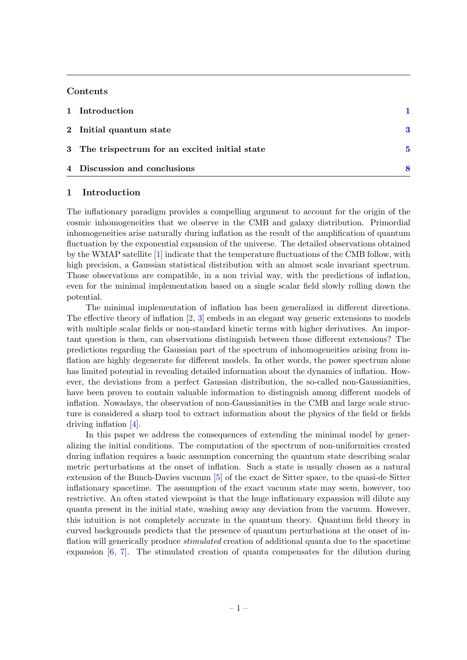#### Contents

| 1 Introduction                                 |  |
|------------------------------------------------|--|
| 2 Initial quantum state                        |  |
| 3 The trispectrum for an excited initial state |  |
| 4 Discussion and conclusions                   |  |

#### <span id="page-2-0"></span>1 Introduction

The inflationary paradigm provides a compelling argument to account for the origin of the cosmic inhomogeneities that we observe in the CMB and galaxy distribution. Primordial inhomogeneities arise naturally during inflation as the result of the amplification of quantum fluctuation by the exponential expansion of the universe. The detailed observations obtained by the WMAP satellite [\[1\]](#page-11-0) indicate that the temperature fluctuations of the CMB follow, with high precision, a Gaussian statistical distribution with an almost scale invariant spectrum. Those observations are compatible, in a non trivial way, with the predictions of inflation, even for the minimal implementation based on a single scalar field slowly rolling down the potential.

The minimal implementation of inflation has been generalized in different directions. The effective theory of inflation  $[2, 3]$  $[2, 3]$  $[2, 3]$  embeds in an elegant way generic extensions to models with multiple scalar fields or non-standard kinetic terms with higher derivatives. An important question is then, can observations distinguish between those different extensions? The predictions regarding the Gaussian part of the spectrum of inhomogeneities arising from inflation are highly degenerate for different models. In other words, the power spectrum alone has limited potential in revealing detailed information about the dynamics of inflation. However, the deviations from a perfect Gaussian distribution, the so-called non-Gaussianities, have been proven to contain valuable information to distinguish among different models of inflation. Nowadays, the observation of non-Gaussianities in the CMB and large scale structure is considered a sharp tool to extract information about the physics of the field or fields driving inflation [\[4\]](#page-11-3).

In this paper we address the consequences of extending the minimal model by generalizing the initial conditions. The computation of the spectrum of non-uniformities created during inflation requires a basic assumption concerning the quantum state describing scalar metric perturbations at the onset of inflation. Such a state is usually chosen as a natural extension of the Bunch-Davies vacuum [\[5\]](#page-11-4) of the exact de Sitter space, to the quasi-de Sitter inflationary spacetime. The assumption of the exact vacuum state may seem, however, too restrictive. An often stated viewpoint is that the huge inflationary expansion will dilute any quanta present in the initial state, washing away any deviation from the vacuum. However, this intuition is not completely accurate in the quantum theory. Quantum field theory in curved backgrounds predicts that the presence of quantum perturbations at the onset of inflation will generically produce *stimulated* creation of additional quanta due to the spacetime expansion [\[6,](#page-11-5) [7\]](#page-11-6). The stimulated creation of quanta compensates for the dilution during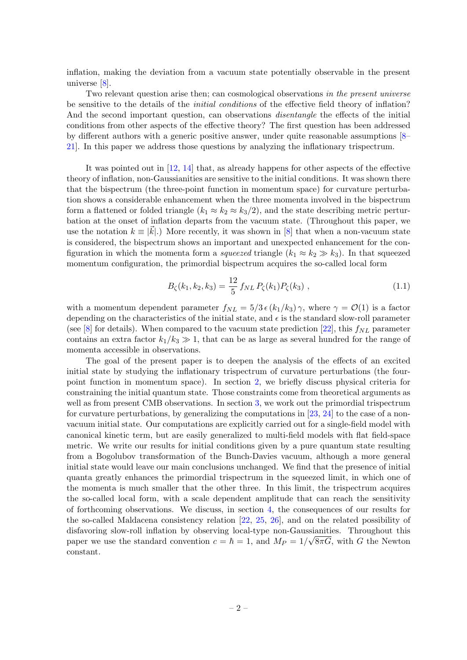inflation, making the deviation from a vacuum state potentially observable in the present universe [\[8\]](#page-11-7).

Two relevant question arise then; can cosmological observations in the present universe be sensitive to the details of the initial conditions of the effective field theory of inflation? And the second important question, can observations disentangle the effects of the initial conditions from other aspects of the effective theory? The first question has been addressed by different authors with a generic positive answer, under quite reasonable assumptions [\[8–](#page-11-7) [21\]](#page-12-0). In this paper we address those questions by analyzing the inflationary trispectrum.

It was pointed out in [\[12,](#page-12-1) [14\]](#page-12-2) that, as already happens for other aspects of the effective theory of inflation, non-Gaussianities are sensitive to the initial conditions. It was shown there that the bispectrum (the three-point function in momentum space) for curvature perturbation shows a considerable enhancement when the three momenta involved in the bispectrum form a flattened or folded triangle  $(k_1 \approx k_2 \approx k_3/2)$ , and the state describing metric perturbation at the onset of inflation departs from the vacuum state. (Throughout this paper, we use the notation  $k \equiv |\vec{k}|$ .) More recently, it was shown in [\[8\]](#page-11-7) that when a non-vacuum state is considered, the bispectrum shows an important and unexpected enhancement for the configuration in which the momenta form a squeezed triangle  $(k_1 \approx k_2 \gg k_3)$ . In that squeezed momentum configuration, the primordial bispectrum acquires the so-called local form

<span id="page-3-0"></span>
$$
B_{\zeta}(k_1, k_2, k_3) = \frac{12}{5} f_{NL} P_{\zeta}(k_1) P_{\zeta}(k_3) , \qquad (1.1)
$$

with a momentum dependent parameter  $f_{NL} = 5/3 \epsilon (k_1/k_3) \gamma$ , where  $\gamma = \mathcal{O}(1)$  is a factor depending on the characteristics of the initial state, and  $\epsilon$  is the standard slow-roll parameter (see [\[8\]](#page-11-7) for details). When compared to the vacuum state prediction [\[22\]](#page-12-3), this  $f_{NL}$  parameter contains an extra factor  $k_1/k_3 \gg 1$ , that can be as large as several hundred for the range of momenta accessible in observations.

The goal of the present paper is to deepen the analysis of the effects of an excited initial state by studying the inflationary trispectrum of curvature perturbations (the fourpoint function in momentum space). In section [2,](#page-4-0) we briefly discuss physical criteria for constraining the initial quantum state. Those constraints come from theoretical arguments as well as from present CMB observations. In section [3,](#page-6-0) we work out the primordial trispectrum for curvature perturbations, by generalizing the computations in [\[23,](#page-12-4)  $24$ ] to the case of a nonvacuum initial state. Our computations are explicitly carried out for a single-field model with canonical kinetic term, but are easily generalized to multi-field models with flat field-space metric. We write our results for initial conditions given by a pure quantum state resulting from a Bogolubov transformation of the Bunch-Davies vacuum, although a more general initial state would leave our main conclusions unchanged. We find that the presence of initial quanta greatly enhances the primordial trispectrum in the squeezed limit, in which one of the momenta is much smaller that the other three. In this limit, the trispectrum acquires the so-called local form, with a scale dependent amplitude that can reach the sensitivity of forthcoming observations. We discuss, in section [4,](#page-9-0) the consequences of our results for the so-called Maldacena consistency relation [\[22,](#page-12-3) [25,](#page-12-6) [26\]](#page-12-7), and on the related possibility of disfavoring slow-roll inflation by observing local-type non-Gaussianities. Throughout this paper we use the standard convention  $c = \hbar = 1$ , and  $M_P = 1/\sqrt{8\pi G}$ , with G the Newton constant.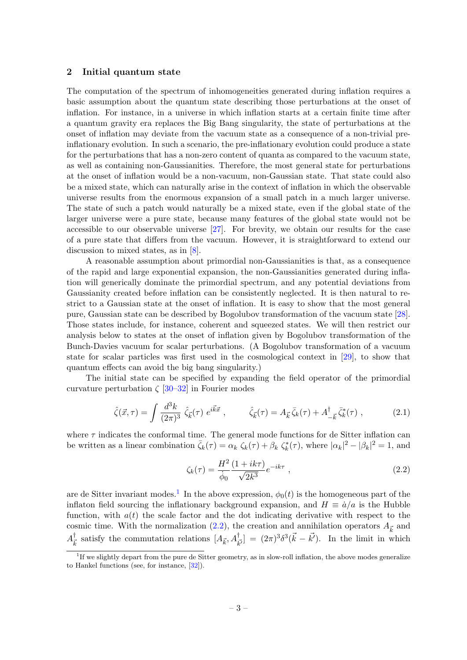#### <span id="page-4-0"></span>2 Initial quantum state

The computation of the spectrum of inhomogeneities generated during inflation requires a basic assumption about the quantum state describing those perturbations at the onset of inflation. For instance, in a universe in which inflation starts at a certain finite time after a quantum gravity era replaces the Big Bang singularity, the state of perturbations at the onset of inflation may deviate from the vacuum state as a consequence of a non-trivial preinflationary evolution. In such a scenario, the pre-inflationary evolution could produce a state for the perturbations that has a non-zero content of quanta as compared to the vacuum state, as well as containing non-Gaussianities. Therefore, the most general state for perturbations at the onset of inflation would be a non-vacuum, non-Gaussian state. That state could also be a mixed state, which can naturally arise in the context of inflation in which the observable universe results from the enormous expansion of a small patch in a much larger universe. The state of such a patch would naturally be a mixed state, even if the global state of the larger universe were a pure state, because many features of the global state would not be accessible to our observable universe [\[27\]](#page-12-8). For brevity, we obtain our results for the case of a pure state that differs from the vacuum. However, it is straightforward to extend our discussion to mixed states, as in [\[8\]](#page-11-7).

A reasonable assumption about primordial non-Gaussianities is that, as a consequence of the rapid and large exponential expansion, the non-Gaussianities generated during inflation will generically dominate the primordial spectrum, and any potential deviations from Gaussianity created before inflation can be consistently neglected. It is then natural to restrict to a Gaussian state at the onset of inflation. It is easy to show that the most general pure, Gaussian state can be described by Bogolubov transformation of the vacuum state [\[28\]](#page-12-9). Those states include, for instance, coherent and squeezed states. We will then restrict our analysis below to states at the onset of inflation given by Bogolubov transformation of the Bunch-Davies vacuum for scalar perturbations. (A Bogolubov transformation of a vacuum state for scalar particles was first used in the cosmological context in [\[29\]](#page-12-10), to show that quantum effects can avoid the big bang singularity.)

The initial state can be specified by expanding the field operator of the primordial curvature perturbation  $\zeta$  [\[30](#page-12-11)[–32\]](#page-12-12) in Fourier modes

$$
\hat{\zeta}(\vec{x},\tau) = \int \frac{d^3k}{(2\pi)^3} \hat{\zeta}_{\vec{k}}(\tau) e^{i\vec{k}\vec{x}} , \qquad \hat{\zeta}_{\vec{k}}(\tau) = A_{\vec{k}} \bar{\zeta}_{k}(\tau) + A_{-\vec{k}}^{\dagger} \bar{\zeta}_{k}^{*}(\tau) ,
$$
 (2.1)

where  $\tau$  indicates the conformal time. The general mode functions for de Sitter inflation can be written as a linear combination  $\bar{\zeta}_k(\tau) = \alpha_k \zeta_k(\tau) + \beta_k \zeta_k^*(\tau)$ , where  $|\alpha_k|^2 - |\beta_k|^2 = 1$ , and

<span id="page-4-2"></span>
$$
\zeta_k(\tau) = \frac{H^2}{\dot{\phi}_0} \frac{(1 + ik\tau)}{\sqrt{2k^3}} e^{-ik\tau} ,
$$
\n(2.2)

are de Sitter invariant modes.<sup>[1](#page-4-1)</sup> In the above expression,  $\phi_0(t)$  is the homogeneous part of the inflaton field sourcing the inflationary background expansion, and  $H \equiv \dot{a}/a$  is the Hubble function, with  $a(t)$  the scale factor and the dot indicating derivative with respect to the cosmic time. With the normalization [\(2.2\)](#page-4-2), the creation and annihilation operators  $A_{\vec{k}}$  and  $A^{\dagger}_{\bar{\iota}}$ <sup>†</sup><sub>k</sub> satisfy the commutation relations  $[A_{\vec{k}}, A_{\vec{k'}}^{\dagger}] = (2\pi)^3 \delta^3(\vec{k} - \vec{k'})$ . In the limit in which

<span id="page-4-1"></span><sup>&</sup>lt;sup>1</sup>If we slightly depart from the pure de Sitter geometry, as in slow-roll inflation, the above modes generalize to Hankel functions (see, for instance, [\[32\]](#page-12-12)).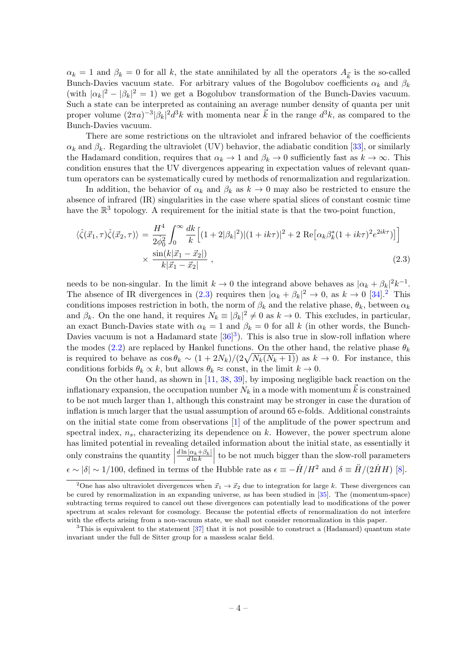$\alpha_k = 1$  and  $\beta_k = 0$  for all k, the state annihilated by all the operators  $A_{\vec{k}}$  is the so-called Bunch-Davies vacuum state. For arbitrary values of the Bogolubov coefficients  $\alpha_k$  and  $\beta_k$ (with  $|\alpha_k|^2 - |\beta_k|^2 = 1$ ) we get a Bogolubov transformation of the Bunch-Davies vacuum. Such a state can be interpreted as containing an average number density of quanta per unit proper volume  $(2\pi a)^{-3} |\beta_k|^2 d^3k$  with momenta near  $\vec{k}$  in the range  $d^3k$ , as compared to the Bunch-Davies vacuum.

There are some restrictions on the ultraviolet and infrared behavior of the coefficients  $\alpha_k$  and  $\beta_k$ . Regarding the ultraviolet (UV) behavior, the adiabatic condition [\[33\]](#page-12-13), or similarly the Hadamard condition, requires that  $\alpha_k \to 1$  and  $\beta_k \to 0$  sufficiently fast as  $k \to \infty$ . This condition ensures that the UV divergences appearing in expectation values of relevant quantum operators can be systematically cured by methods of renormalization and regularization.

In addition, the behavior of  $\alpha_k$  and  $\beta_k$  as  $k \to 0$  may also be restricted to ensure the absence of infrared (IR) singularities in the case where spatial slices of constant cosmic time have the  $\mathbb{R}^3$  topology. A requirement for the initial state is that the two-point function,

<span id="page-5-0"></span>
$$
\langle \hat{\zeta}(\vec{x}_1, \tau) \hat{\zeta}(\vec{x}_2, \tau) \rangle = \frac{H^4}{2\dot{\phi}_0^2} \int_0^\infty \frac{dk}{k} \Big[ (1 + 2|\beta_k|^2) |(1 + ik\tau)|^2 + 2 \text{ Re} \big[ \alpha_k \beta_k^*(1 + ik\tau)^2 e^{2ik\tau} \big] \Big] \times \frac{\sin(k|\vec{x}_1 - \vec{x}_2|)}{k|\vec{x}_1 - \vec{x}_2|} , \tag{2.3}
$$

needs to be non-singular. In the limit  $k \to 0$  the integrand above behaves as  $|\alpha_k + \beta_k|^2 k^{-1}$ . The absence of IR divergences in [\(2.3\)](#page-5-0) requires then  $|\alpha_k + \beta_k|^2 \to 0$  $|\alpha_k + \beta_k|^2 \to 0$  $|\alpha_k + \beta_k|^2 \to 0$ , as  $k \to 0$  [\[34\]](#page-12-14).<sup>2</sup> This conditions imposes restriction in both, the norm of  $\beta_k$  and the relative phase,  $\theta_k$ , between  $\alpha_k$ and  $\beta_k$ . On the one hand, it requires  $N_k \equiv |\beta_k|^2 \neq 0$  as  $k \to 0$ . This excludes, in particular, an exact Bunch-Davies state with  $\alpha_k = 1$  and  $\beta_k = 0$  for all k (in other words, the Bunch-Davies vacuum is not a Hadamard state  $[36]^3$  $[36]^3$  $[36]^3$ ). This is also true in slow-roll inflation where the modes [\(2.2\)](#page-4-2) are replaced by Hankel functions. On the other hand, the relative phase  $\theta_k$ is required to behave as  $\cos \theta_k \sim (1 + 2N_k)/(2\sqrt{N_k(N_k+1)})$  as  $k \to 0$ . For instance, this conditions forbids  $\theta_k \propto k$ , but allows  $\theta_k \approx$  const, in the limit  $k \to 0$ .

On the other hand, as shown in [\[11,](#page-12-16) [38,](#page-13-0) [39\]](#page-13-1), by imposing negligible back reaction on the inflationary expansion, the occupation number  $N_k$  in a mode with momentum  $\vec{k}$  is constrained to be not much larger than 1, although this constraint may be stronger in case the duration of inflation is much larger that the usual assumption of around 65 e-folds. Additional constraints on the initial state come from observations [\[1\]](#page-11-0) of the amplitude of the power spectrum and spectral index,  $n<sub>s</sub>$ , characterizing its dependence on k. However, the power spectrum alone has limited potential in revealing detailed information about the initial state, as essentially it only constrains the quantity  $\Big|$  $\frac{d \ln |\alpha_k+\beta_k|}{\sqrt{k}}$  $\left| \frac{|\alpha_k + \beta_k|}{d \ln k} \right|$  to be not much bigger than the slow-roll parameters  $\epsilon \sim |\delta| \sim 1/100$ , defined in terms of the Hubble rate as  $\epsilon \equiv -\dot{H}/H^2$  and  $\delta \equiv \ddot{H}/(2\dot{H}H)$  [\[8\]](#page-11-7).

<span id="page-5-1"></span><sup>&</sup>lt;sup>2</sup>One has also ultraviolet divergences when  $\vec{x}_1 \rightarrow \vec{x}_2$  due to integration for large k. These divergences can be cured by renormalization in an expanding universe, as has been studied in [\[35\]](#page-12-17). The (momentum-space) subtracting terms required to cancel out these divergences can potentially lead to modifications of the power spectrum at scales relevant for cosmology. Because the potential effects of renormalization do not interfere with the effects arising from a non-vacuum state, we shall not consider renormalization in this paper.

<span id="page-5-2"></span><sup>&</sup>lt;sup>3</sup>This is equivalent to the statement [\[37\]](#page-12-18) that it is not possible to construct a (Hadamard) quantum state invariant under the full de Sitter group for a massless scalar field.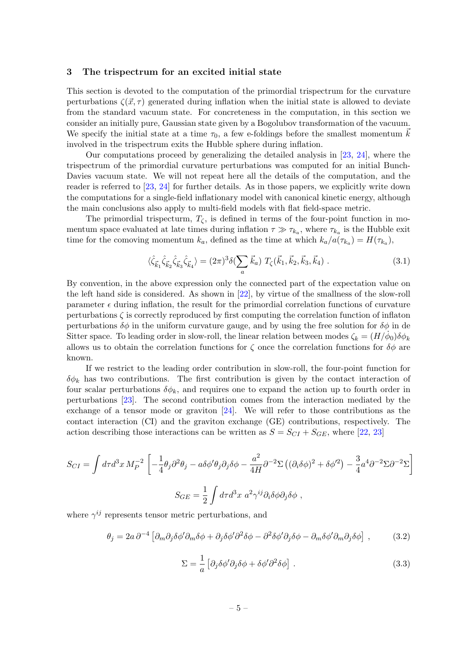#### <span id="page-6-0"></span>3 The trispectrum for an excited initial state

This section is devoted to the computation of the primordial trispectrum for the curvature perturbations  $\zeta(\vec{x}, \tau)$  generated during inflation when the initial state is allowed to deviate from the standard vacuum state. For concreteness in the computation, in this section we consider an initially pure, Gaussian state given by a Bogolubov transformation of the vacuum. We specify the initial state at a time  $\tau_0$ , a few e-foldings before the smallest momentum k involved in the trispectrum exits the Hubble sphere during inflation.

Our computations proceed by generalizing the detailed analysis in [\[23,](#page-12-4) [24\]](#page-12-5), where the trispectrum of the primordial curvature perturbations was computed for an initial Bunch-Davies vacuum state. We will not repeat here all the details of the computation, and the reader is referred to [\[23,](#page-12-4) [24\]](#page-12-5) for further details. As in those papers, we explicitly write down the computations for a single-field inflationary model with canonical kinetic energy, although the main conclusions also apply to multi-field models with flat field-space metric.

The primordial trispecturm,  $T_c$ , is defined in terms of the four-point function in momentum space evaluated at late times during inflation  $\tau \gg \tau_{k_a}$ , where  $\tau_{k_a}$  is the Hubble exit time for the comoving momentum  $k_a$ , defined as the time at which  $k_a/a(\tau_{k_a}) = H(\tau_{k_a})$ ,

<span id="page-6-1"></span>
$$
\langle \hat{\zeta}_{\vec{k}_1} \hat{\zeta}_{\vec{k}_2} \hat{\zeta}_{\vec{k}_3} \hat{\zeta}_{\vec{k}_4} \rangle = (2\pi)^3 \delta \left( \sum_a \vec{k}_a \right) T_\zeta(\vec{k}_1, \vec{k}_2, \vec{k}_3, \vec{k}_4) \tag{3.1}
$$

By convention, in the above expression only the connected part of the expectation value on the left hand side is considered. As shown in [\[22\]](#page-12-3), by virtue of the smallness of the slow-roll parameter  $\epsilon$  during inflation, the result for the primordial correlation functions of curvature perturbations  $\zeta$  is correctly reproduced by first computing the correlation function of inflaton perturbations  $\delta\phi$  in the uniform curvature gauge, and by using the free solution for  $\delta\phi$  in de Sitter space. To leading order in slow-roll, the linear relation between modes  $\zeta_k = (H/\dot{\phi}_0)\delta\phi_k$ allows us to obtain the correlation functions for  $\zeta$  once the correlation functions for  $\delta\phi$  are known.

If we restrict to the leading order contribution in slow-roll, the four-point function for  $\delta \phi_k$  has two contributions. The first contribution is given by the contact interaction of four scalar perturbations  $\delta \phi_k$ , and requires one to expand the action up to fourth order in perturbations [\[23\]](#page-12-4). The second contribution comes from the interaction mediated by the exchange of a tensor mode or graviton [\[24\]](#page-12-5). We will refer to those contributions as the contact interaction (CI) and the graviton exchange (GE) contributions, respectively. The action describing those interactions can be written as  $S = S_{CI} + S_{GE}$ , where [\[22,](#page-12-3) [23\]](#page-12-4)

$$
S_{CI} = \int d\tau d^3x \, M_P^{-2} \left[ -\frac{1}{4} \theta_j \partial^2 \theta_j - a \delta \phi' \theta_j \partial_j \delta \phi - \frac{a^2}{4H} \partial^{-2} \Sigma \left( (\partial_i \delta \phi)^2 + \delta \phi'^2 \right) - \frac{3}{4} a^4 \partial^{-2} \Sigma \partial^{-2} \Sigma \right]
$$
  

$$
S_{GE} = \frac{1}{2} \int d\tau d^3x \, a^2 \gamma^{ij} \partial_i \delta \phi \partial_j \delta \phi ,
$$

where  $\gamma^{ij}$  represents tensor metric perturbations, and

$$
\theta_j = 2a \,\partial^{-4} \left[ \partial_m \partial_j \delta \phi' \partial_m \delta \phi + \partial_j \delta \phi' \partial^2 \delta \phi - \partial^2 \delta \phi' \partial_j \delta \phi - \partial_m \delta \phi' \partial_m \partial_j \delta \phi \right] \,, \tag{3.2}
$$

$$
\Sigma = \frac{1}{a} \left[ \partial_j \delta \phi' \partial_j \delta \phi + \delta \phi' \partial^2 \delta \phi \right] . \tag{3.3}
$$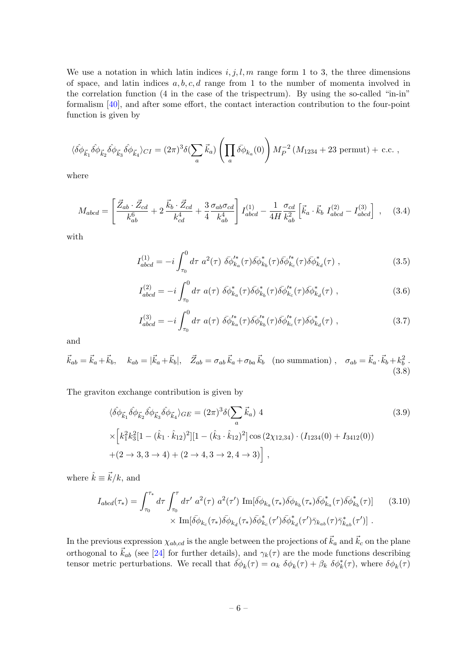We use a notation in which latin indices  $i, j, l, m$  range form 1 to 3, the three dimensions of space, and latin indices  $a, b, c, d$  range from 1 to the number of momenta involved in the correlation function (4 in the case of the trispectrum). By using the so-called "in-in" formalism [\[40\]](#page-13-2), and after some effort, the contact interaction contribution to the four-point function is given by

<span id="page-7-5"></span>
$$
\langle \hat{\delta \phi}_{\vec{k}_1} \hat{\delta \phi}_{\vec{k}_2} \hat{\delta \phi}_{\vec{k}_3} \hat{\delta \phi}_{\vec{k}_4} \rangle_{CI} = (2\pi)^3 \delta \left( \sum_a \vec{k}_a \right) \left( \prod_a \bar{\delta \phi}_{k_a}(0) \right) M_P^{-2} \left( M_{1234} + 23 \text{ permut} \right) + \text{ c.c. },
$$

where

$$
M_{abcd} = \left[ \frac{\vec{Z}_{ab} \cdot \vec{Z}_{cd}}{k_{ab}^6} + 2 \frac{\vec{k}_b \cdot \vec{Z}_{cd}}{k_{cd}^4} + \frac{3}{4} \frac{\sigma_{ab} \sigma_{cd}}{k_{ab}^4} \right] I_{abcd}^{(1)} - \frac{1}{4H} \frac{\sigma_{cd}}{k_{ab}^2} \left[ \vec{k}_a \cdot \vec{k}_b \ I_{abcd}^{(2)} - I_{abcd}^{(3)} \right] , \quad (3.4)
$$

with

<span id="page-7-0"></span>
$$
I_{abcd}^{(1)} = -i \int_{\tau_0}^0 d\tau \ a^2(\tau) \ \bar{\delta \phi}_{k_a}^{\prime *}(\tau) \bar{\delta \phi}_{k_b}^*(\tau) \bar{\delta \phi}_{k_c}^{\prime *}(\tau) \bar{\delta \phi}_{k_d}^*(\tau) , \qquad (3.5)
$$

<span id="page-7-1"></span>
$$
I_{abcd}^{(2)} = -i \int_{\tau_0}^0 d\tau \ a(\tau) \ \bar{\delta \phi}_{k_a}^*(\tau) \bar{\delta \phi}_{k_b}^*(\tau) \bar{\delta \phi}_{k_c}^*(\tau) \bar{\delta \phi}_{k_d}^*(\tau) , \qquad (3.6)
$$

<span id="page-7-2"></span>
$$
I_{abcd}^{(3)} = -i \int_{\tau_0}^0 d\tau \ a(\tau) \ \bar{\delta \phi}_{k_a}^{\prime *}(\tau) \bar{\delta \phi}_{k_b}^{\prime *}(\tau) \bar{\delta \phi}_{k_c}^{\prime *}(\tau) \bar{\delta \phi}_{k_d}^*(\tau) , \qquad (3.7)
$$

and

$$
\vec{k}_{ab} = \vec{k}_a + \vec{k}_b, \quad k_{ab} = |\vec{k}_a + \vec{k}_b|, \quad \vec{Z}_{ab} = \sigma_{ab}\,\vec{k}_a + \sigma_{ba}\,\vec{k}_b \quad \text{(no summation)}\,, \quad \sigma_{ab} = \vec{k}_a \cdot \vec{k}_b + k_b^2 \,.
$$
\n(3.8)

The graviton exchange contribution is given by

<span id="page-7-4"></span>
$$
\langle \hat{\delta \phi}_{\vec{k}_1} \hat{\delta \phi}_{\vec{k}_2} \hat{\delta \phi}_{\vec{k}_3} \hat{\delta \phi}_{\vec{k}_4} \rangle_{GE} = (2\pi)^3 \delta \left( \sum_a \vec{k}_a \right) 4
$$
\n
$$
\times \left[ k_1^2 k_3^2 [1 - (\hat{k}_1 \cdot \hat{k}_{12})^2] [1 - (\hat{k}_3 \cdot \hat{k}_{12})^2] \cos (2\chi_{12,34}) \cdot (I_{1234}(0) + I_{3412}(0)) \right.
$$
\n
$$
+ (2 \to 3, 3 \to 4) + (2 \to 4, 3 \to 2, 4 \to 3) \right],
$$
\n(3.9)

where  $\hat{k} \equiv \vec{k}/k$ , and

<span id="page-7-3"></span>
$$
I_{abcd}(\tau_*) = \int_{\tau_0}^{\tau_*} d\tau \int_{\tau_0}^{\tau} d\tau' \ a^2(\tau) \ a^2(\tau') \ \text{Im}[\bar{\delta \phi}_{k_a}(\tau_*) \bar{\delta \phi}_{k_b}(\tau_*) \bar{\delta \phi}_{k_a}^*(\tau) \bar{\delta \phi}_{k_b}^*(\tau)] \qquad (3.10)
$$

$$
\times \ \text{Im}[\bar{\delta \phi}_{k_c}(\tau_*) \bar{\delta \phi}_{k_d}(\tau_*) \bar{\delta \phi}_{k_c}^*(\tau') \bar{\delta \phi}_{k_d}^*(\tau') \bar{\gamma}_{k_{ab}}(\tau) \bar{\gamma}_{k_{ab}}^*(\tau')].
$$

In the previous expression  $\chi_{ab,cd}$  is the angle between the projections of  $\vec{k}_a$  and  $\vec{k}_c$  on the plane orthogonal to  $\vec{k}_{ab}$  (see [\[24\]](#page-12-5) for further details), and  $\gamma_k(\tau)$  are the mode functions describing tensor metric perturbations. We recall that  $\overline{\delta \phi}_k(\tau) = \alpha_k \delta \phi_k(\tau) + \beta_k \delta \phi_k^*(\tau)$ , where  $\delta \phi_k(\tau)$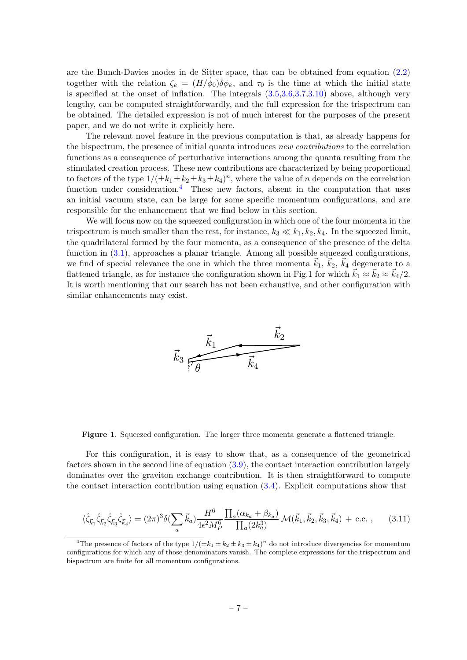are the Bunch-Davies modes in de Sitter space, that can be obtained from equation [\(2.2\)](#page-4-2) together with the relation  $\zeta_k = (H/\dot{\phi}_0)\delta\phi_k$ , and  $\tau_0$  is the time at which the initial state is specified at the onset of inflation. The integrals [\(3.5,](#page-7-0)[3.6,](#page-7-1)[3.7,](#page-7-2)[3.10\)](#page-7-3) above, although very lengthy, can be computed straightforwardly, and the full expression for the trispectrum can be obtained. The detailed expression is not of much interest for the purposes of the present paper, and we do not write it explicitly here.

The relevant novel feature in the previous computation is that, as already happens for the bispectrum, the presence of initial quanta introduces new contributions to the correlation functions as a consequence of perturbative interactions among the quanta resulting from the stimulated creation process. These new contributions are characterized by being proportional to factors of the type  $1/(\pm k_1 \pm k_2 \pm k_3 \pm k_4)^n$ , where the value of n depends on the correlation function under consideration.<sup>[4](#page-8-0)</sup> These new factors, absent in the computation that uses an initial vacuum state, can be large for some specific momentum configurations, and are responsible for the enhancement that we find below in this section.

We will focus now on the squeezed configuration in which one of the four momenta in the trispectrum is much smaller than the rest, for instance,  $k_3 \ll k_1, k_2, k_4$ . In the squeezed limit, the quadrilateral formed by the four momenta, as a consequence of the presence of the delta function in  $(3.1)$ , approaches a planar triangle. Among all possible squeezed configurations, we find of special relevance the one in which the three momenta  $\vec{k}_1, \vec{k}_2, \vec{k}_4$  degenerate to a flattened triangle, as for instance the configuration shown in Fig.1 for which  $\vec{k}_1 \approx \vec{k}_2 \approx \vec{k}_4/2$ . It is worth mentioning that our search has not been exhaustive, and other configuration with similar enhancements may exist.



Figure 1. Squeezed configuration. The larger three momenta generate a flattened triangle.

For this configuration, it is easy to show that, as a consequence of the geometrical factors shown in the second line of equation [\(3.9\)](#page-7-4), the contact interaction contribution largely dominates over the graviton exchange contribution. It is then straightforward to compute the contact interaction contribution using equation [\(3.4\)](#page-7-5). Explicit computations show that

$$
\langle \hat{\zeta}_{\vec{k}_{1}} \hat{\zeta}_{\vec{k}_{2}} \hat{\zeta}_{\vec{k}_{3}} \hat{\zeta}_{\vec{k}_{4}} \rangle = (2\pi)^{3} \delta \left( \sum_{a} \vec{k}_{a} \right) \frac{H^{6}}{4\epsilon^{2} M_{P}^{6}} \frac{\prod_{a} (\alpha_{k_{a}} + \beta_{k_{a}})}{\prod_{a} (2k_{a}^{3})} \mathcal{M}(\vec{k}_{1}, \vec{k}_{2}, \vec{k}_{3}, \vec{k}_{4}) + \text{c.c.} \,, \tag{3.11}
$$

<span id="page-8-0"></span><sup>&</sup>lt;sup>4</sup>The presence of factors of the type  $1/(\pm k_1 \pm k_2 \pm k_3 \pm k_4)^n$  do not introduce divergencies for momentum configurations for which any of those denominators vanish. The complete expressions for the trispectrum and bispectrum are finite for all momentum configurations.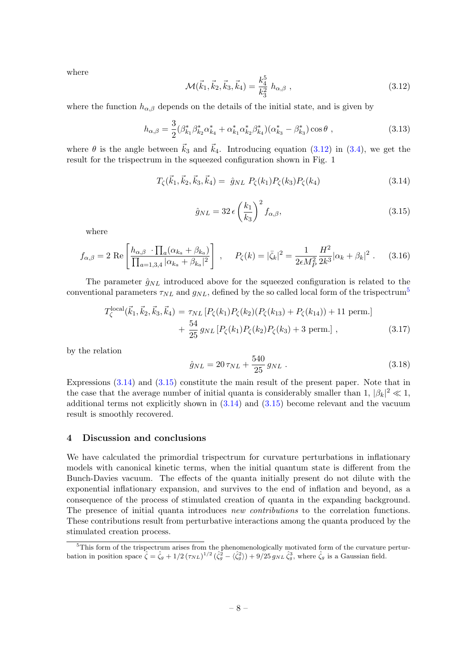where

<span id="page-9-1"></span>
$$
\mathcal{M}(\vec{k}_1, \vec{k}_2, \vec{k}_3, \vec{k}_4) = \frac{k_4^5}{k_3^2} h_{\alpha, \beta} , \qquad (3.12)
$$

where the function  $h_{\alpha,\beta}$  depends on the details of the initial state, and is given by

$$
h_{\alpha,\beta} = \frac{3}{2} (\beta_{k_1}^* \beta_{k_2}^* \alpha_{k_4}^* + \alpha_{k_1}^* \alpha_{k_2}^* \beta_{k_4}^*) (\alpha_{k_3}^* - \beta_{k_3}^*) \cos \theta ,
$$
 (3.13)

where  $\theta$  is the angle between  $\vec{k}_3$  and  $\vec{k}_4$ . Introducing equation [\(3.12\)](#page-9-1) in [\(3.4\)](#page-7-5), we get the result for the trispectrum in the squeezed configuration shown in Fig. 1

<span id="page-9-3"></span>
$$
T_{\zeta}(\vec{k}_1, \vec{k}_2, \vec{k}_3, \vec{k}_4) = \hat{g}_{NL} P_{\zeta}(k_1) P_{\zeta}(k_3) P_{\zeta}(k_4)
$$
\n(3.14)

<span id="page-9-4"></span>
$$
\hat{g}_{NL} = 32 \,\epsilon \left(\frac{k_1}{k_3}\right)^2 f_{\alpha,\beta},\tag{3.15}
$$

where

<span id="page-9-5"></span>
$$
f_{\alpha,\beta} = 2 \text{ Re} \left[ \frac{h_{\alpha,\beta} \cdot \prod_a (\alpha_{k_a} + \beta_{k_a})}{\prod_{a=1,3,4} |\alpha_{k_a} + \beta_{k_a}|^2} \right], \quad P_{\zeta}(k) = |\bar{\zeta}_k|^2 = \frac{1}{2\epsilon M_P^2} \frac{H^2}{2k^3} |\alpha_k + \beta_k|^2. \quad (3.16)
$$

The parameter  $\hat{g}_{NL}$  introduced above for the squeezed configuration is related to the conventional parameters  $\tau_{NL}$  and  $g_{NL}$ , defined by the so called local form of the trispectrum<sup>[5](#page-9-2)</sup>

$$
T_{\zeta}^{\text{local}}(\vec{k}_1, \vec{k}_2, \vec{k}_3, \vec{k}_4) = \tau_{NL} \left[ P_{\zeta}(k_1) P_{\zeta}(k_2) (P_{\zeta}(k_{13}) + P_{\zeta}(k_{14})) + 11 \text{ perm.} \right] + \frac{54}{25} g_{NL} \left[ P_{\zeta}(k_1) P_{\zeta}(k_2) P_{\zeta}(k_3) + 3 \text{ perm.} \right],
$$
(3.17)

by the relation

$$
\hat{g}_{NL} = 20 \,\tau_{NL} + \frac{540}{25} \, g_{NL} \tag{3.18}
$$

Expressions [\(3.14\)](#page-9-3) and [\(3.15\)](#page-9-4) constitute the main result of the present paper. Note that in the case that the average number of initial quanta is considerably smaller than 1,  $|\beta_k|^2 \ll 1$ , additional terms not explicitly shown in  $(3.14)$  and  $(3.15)$  become relevant and the vacuum result is smoothly recovered.

#### <span id="page-9-0"></span>4 Discussion and conclusions

We have calculated the primordial trispectrum for curvature perturbations in inflationary models with canonical kinetic terms, when the initial quantum state is different from the Bunch-Davies vacuum. The effects of the quanta initially present do not dilute with the exponential inflationary expansion, and survives to the end of inflation and beyond, as a consequence of the process of stimulated creation of quanta in the expanding background. The presence of initial quanta introduces new contributions to the correlation functions. These contributions result from perturbative interactions among the quanta produced by the stimulated creation process.

<span id="page-9-2"></span> $5$ This form of the trispectrum arises from the phenomenologically motivated form of the curvature perturbation in position space  $\hat{\zeta} = \hat{\zeta}_g + 1/2 (\tau_{NL})^{1/2} (\hat{\zeta}_g^2 - \langle \hat{\zeta}_g^2 \rangle) + 9/25 g_{NL} \hat{\zeta}_g^3$ , where  $\hat{\zeta}_g$  is a Gaussian field.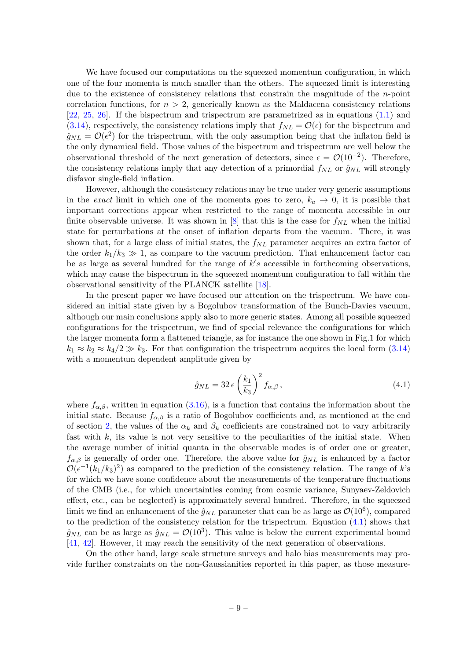We have focused our computations on the squeezed momentum configuration, in which one of the four momenta is much smaller than the others. The squeezed limit is interesting due to the existence of consistency relations that constrain the magnitude of the n-point correlation functions, for  $n > 2$ , generically known as the Maldacena consistency relations [\[22,](#page-12-3) [25,](#page-12-6) [26\]](#page-12-7). If the bispectrum and trispectrum are parametrized as in equations [\(1.1\)](#page-3-0) and [\(3.14\)](#page-9-3), respectively, the consistency relations imply that  $f_{NL} = \mathcal{O}(\epsilon)$  for the bispectrum and  $\hat{g}_{NL} = \mathcal{O}(\epsilon^2)$  for the trispectrum, with the only assumption being that the inflaton field is the only dynamical field. Those values of the bispectrum and trispectrum are well below the observational threshold of the next generation of detectors, since  $\epsilon = \mathcal{O}(10^{-2})$ . Therefore, the consistency relations imply that any detection of a primordial  $f_{NL}$  or  $\hat{g}_{NL}$  will strongly disfavor single-field inflation.

However, although the consistency relations may be true under very generic assumptions in the exact limit in which one of the momenta goes to zero,  $k_a \rightarrow 0$ , it is possible that important corrections appear when restricted to the range of momenta accessible in our finite observable universe. It was shown in [\[8\]](#page-11-7) that this is the case for  $f_{NL}$  when the initial state for perturbations at the onset of inflation departs from the vacuum. There, it was shown that, for a large class of initial states, the  $f_{NL}$  parameter acquires an extra factor of the order  $k_1/k_3 \gg 1$ , as compare to the vacuum prediction. That enhancement factor can be as large as several hundred for the range of  $k's$  accessible in forthcoming observations, which may cause the bispectrum in the squeezed momentum configuration to fall within the observational sensitivity of the PLANCK satellite [\[18\]](#page-12-19).

In the present paper we have focused our attention on the trispectrum. We have considered an initial state given by a Bogolubov transformation of the Bunch-Davies vacuum, although our main conclusions apply also to more generic states. Among all possible squeezed configurations for the trispectrum, we find of special relevance the configurations for which the larger momenta form a flattened triangle, as for instance the one shown in Fig.1 for which  $k_1 \approx k_2 \approx k_4/2 \gg k_3$ . For that configuration the trispectrum acquires the local form [\(3.14\)](#page-9-3) with a momentum dependent amplitude given by

<span id="page-10-0"></span>
$$
\hat{g}_{NL} = 32 \,\epsilon \left(\frac{k_1}{k_3}\right)^2 f_{\alpha,\beta} \,, \tag{4.1}
$$

where  $f_{\alpha,\beta}$ , written in equation [\(3.16\)](#page-9-5), is a function that contains the information about the initial state. Because  $f_{\alpha,\beta}$  is a ratio of Bogolubov coefficients and, as mentioned at the end of section [2,](#page-4-0) the values of the  $\alpha_k$  and  $\beta_k$  coefficients are constrained not to vary arbitrarily fast with  $k$ , its value is not very sensitive to the peculiarities of the initial state. When the average number of initial quanta in the observable modes is of order one or greater,  $f_{\alpha,\beta}$  is generally of order one. Therefore, the above value for  $\hat{g}_{NL}$  is enhanced by a factor  $\mathcal{O}(\epsilon^{-1}(k_1/k_3)^2)$  as compared to the prediction of the consistency relation. The range of k's for which we have some confidence about the measurements of the temperature fluctuations of the CMB (i.e., for which uncertainties coming from cosmic variance, Sunyaev-Zeldovich effect, etc., can be neglected) is approximately several hundred. Therefore, in the squeezed limit we find an enhancement of the  $\hat{g}_{NL}$  parameter that can be as large as  $\mathcal{O}(10^6)$ , compared to the prediction of the consistency relation for the trispectrum. Equation  $(4.1)$  shows that  $\hat{g}_{NL}$  can be as large as  $\hat{g}_{NL} = \mathcal{O}(10^3)$ . This value is below the current experimental bound [\[41,](#page-13-3) [42\]](#page-13-4). However, it may reach the sensitivity of the next generation of observations.

On the other hand, large scale structure surveys and halo bias measurements may provide further constraints on the non-Gaussianities reported in this paper, as those measure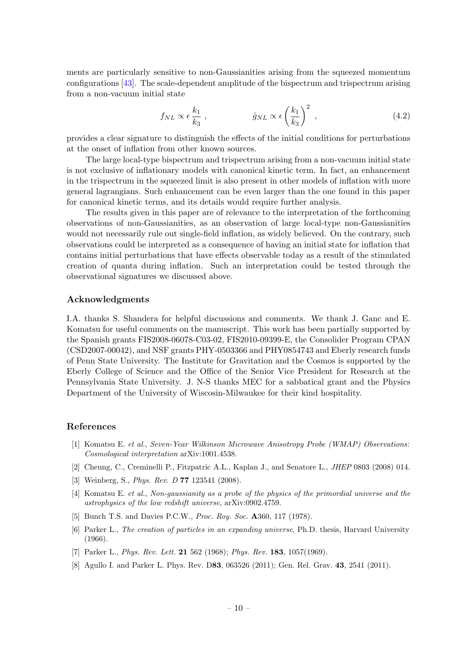ments are particularly sensitive to non-Gaussianities arising from the squeezed momentum configurations [\[43\]](#page-13-5). The scale-dependent amplitude of the bispectrum and trispectrum arising from a non-vacuum initial state

$$
f_{NL} \propto \epsilon \frac{k_1}{k_3} , \qquad \qquad \hat{g}_{NL} \propto \epsilon \left(\frac{k_1}{k_3}\right)^2 , \qquad (4.2)
$$

provides a clear signature to distinguish the effects of the initial conditions for perturbations at the onset of inflation from other known sources.

The large local-type bispectrum and trispectrum arising from a non-vacuum initial state is not exclusive of inflationary models with canonical kinetic term. In fact, an enhancement in the trispectrum in the squeezed limit is also present in other models of inflation with more general lagrangians. Such enhancement can be even larger than the one found in this paper for canonical kinetic terms, and its details would require further analysis.

The results given in this paper are of relevance to the interpretation of the forthcoming observations of non-Gaussianities, as an observation of large local-type non-Gaussianities would not necessarily rule out single-field inflation, as widely believed. On the contrary, such observations could be interpreted as a consequence of having an initial state for inflation that contains initial perturbations that have effects observable today as a result of the stimulated creation of quanta during inflation. Such an interpretation could be tested through the observational signatures we discussed above.

#### Acknowledgments

I.A. thanks S. Shandera for helpful discussions and comments. We thank J. Ganc and E. Komatsu for useful comments on the manuscript. This work has been partially supported by the Spanish grants FIS2008-06078-C03-02, FIS2010-09399-E, the Consolider Program CPAN (CSD2007-00042), and NSF grants PHY-0503366 and PHY0854743 and Eberly research funds of Penn State University. The Institute for Gravitation and the Cosmos is supported by the Eberly College of Science and the Office of the Senior Vice President for Research at the Pennsylvania State University. J. N-S thanks MEC for a sabbatical grant and the Physics Department of the University of Wiscosin-Milwaukee for their kind hospitality.

#### References

- <span id="page-11-0"></span>[1] Komatsu E. et al., Seven-Year Wilkinson Microwave Anisotropy Probe (WMAP) Observations: Cosmological interpretation arXiv:1001.4538.
- <span id="page-11-1"></span>[2] Cheung, C., Creminelli P., Fitzpatric A.L., Kaplan J., and Senatore L., JHEP 0803 (2008) 014.
- <span id="page-11-2"></span>[3] Weinberg, S., Phys. Rev. D 77 123541 (2008).
- <span id="page-11-3"></span>[4] Komatsu E. et al., Non-gaussianity as a probe of the physics of the primordial universe and the astrophysics of the low redshift universe, arXiv:0902.4759.
- <span id="page-11-4"></span>[5] Bunch T.S. and Davies P.C.W., *Proc. Roy. Soc.* **A**360, 117 (1978).
- <span id="page-11-5"></span>[6] Parker L., The creation of particles in an expanding universe, Ph.D. thesis, Harvard University (1966).
- <span id="page-11-6"></span>[7] Parker L., *Phys. Rev. Lett.* **21** 562 (1968); *Phys. Rev.* **183**, 1057(1969).
- <span id="page-11-7"></span>[8] Agullo I. and Parker L. Phys. Rev. D83, 063526 (2011); Gen. Rel. Grav. 43, 2541 (2011).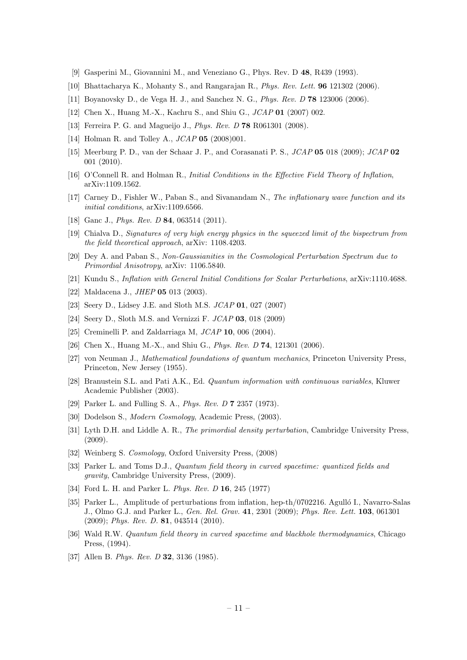- [9] Gasperini M., Giovannini M., and Veneziano G., Phys. Rev. D 48, R439 (1993).
- [10] Bhattacharya K., Mohanty S., and Rangarajan R., Phys. Rev. Lett. 96 121302 (2006).
- <span id="page-12-16"></span>[11] Boyanovsky D., de Vega H. J., and Sanchez N. G., Phys. Rev. D 78 123006 (2006).
- <span id="page-12-1"></span>[12] Chen X., Huang M.-X., Kachru S., and Shiu G., JCAP 01 (2007) 002.
- [13] Ferreira P. G. and Magueijo J., *Phys. Rev. D* **78** R061301 (2008).
- <span id="page-12-2"></span>[14] Holman R. and Tolley A.,  $JCAP$  05 (2008)001.
- [15] Meerburg P. D., van der Schaar J. P., and Corasanati P. S., JCAP 05 018 (2009); JCAP 02 001 (2010).
- [16] O'Connell R. and Holman R., Initial Conditions in the Effective Field Theory of Inflation, arXiv:1109.1562.
- [17] Carney D., Fishler W., Paban S., and Sivanandam N., The inflationary wave function and its initial conditions, arXiv:1109.6566.
- <span id="page-12-19"></span>[18] Ganc J., *Phys. Rev. D* **84**, 063514 (2011).
- [19] Chialva D., Signatures of very high energy physics in the squeezed limit of the bispectrum from the field theoretical approach, arXiv: 1108.4203.
- [20] Dey A. and Paban S., Non-Gaussianities in the Cosmological Perturbation Spectrum due to Primordial Anisotropy, arXiv: 1106.5840.
- <span id="page-12-0"></span>[21] Kundu S., Inflation with General Initial Conditions for Scalar Perturbations, arXiv:1110.4688.
- <span id="page-12-3"></span>[22] Maldacena J., *JHEP* **05** 013 (2003).
- <span id="page-12-4"></span>[23] Seery D., Lidsey J.E. and Sloth M.S. JCAP 01, 027 (2007)
- <span id="page-12-5"></span>[24] Seery D., Sloth M.S. and Vernizzi F. JCAP 03, 018 (2009)
- <span id="page-12-6"></span>[25] Creminelli P. and Zaldarriaga M,  $JCAP$  **10**, 006 (2004).
- <span id="page-12-7"></span>[26] Chen X., Huang M.-X., and Shiu G., *Phys. Rev. D* **74**, 121301 (2006).
- <span id="page-12-8"></span>[27] von Neuman J., Mathematical foundations of quantum mechanics, Princeton University Press, Princeton, New Jersey (1955).
- <span id="page-12-9"></span>[28] Branustein S.L. and Pati A.K., Ed. Quantum information with continuous variables, Kluwer Academic Publisher (2003).
- <span id="page-12-10"></span>[29] Parker L. and Fulling S. A., *Phys. Rev. D* **7** 2357 (1973).
- <span id="page-12-11"></span>[30] Dodelson S., Modern Cosmology, Academic Press, (2003).
- [31] Lyth D.H. and Liddle A. R., The primordial density perturbation, Cambridge University Press, (2009).
- <span id="page-12-12"></span>[32] Weinberg S. Cosmology, Oxford University Press, (2008)
- <span id="page-12-13"></span>[33] Parker L. and Toms D.J., *Quantum field theory in curved spacetime: quantized fields and* gravity, Cambridge University Press, (2009).
- <span id="page-12-14"></span>[34] Ford L. H. and Parker L. Phys. Rev. D 16, 245 (1977)
- <span id="page-12-17"></span>[35] Parker L., Amplitude of perturbations from inflation, hep-th/0702216. Agulló I., Navarro-Salas J., Olmo G.J. and Parker L., Gen. Rel. Grav. 41, 2301 (2009); Phys. Rev. Lett. 103, 061301 (2009); Phys. Rev. D. 81, 043514 (2010).
- <span id="page-12-15"></span>[36] Wald R.W. Quantum field theory in curved spacetime and blackhole thermodynamics, Chicago Press, (1994).
- <span id="page-12-18"></span>[37] Allen B. Phys. Rev. D **32**, 3136 (1985).